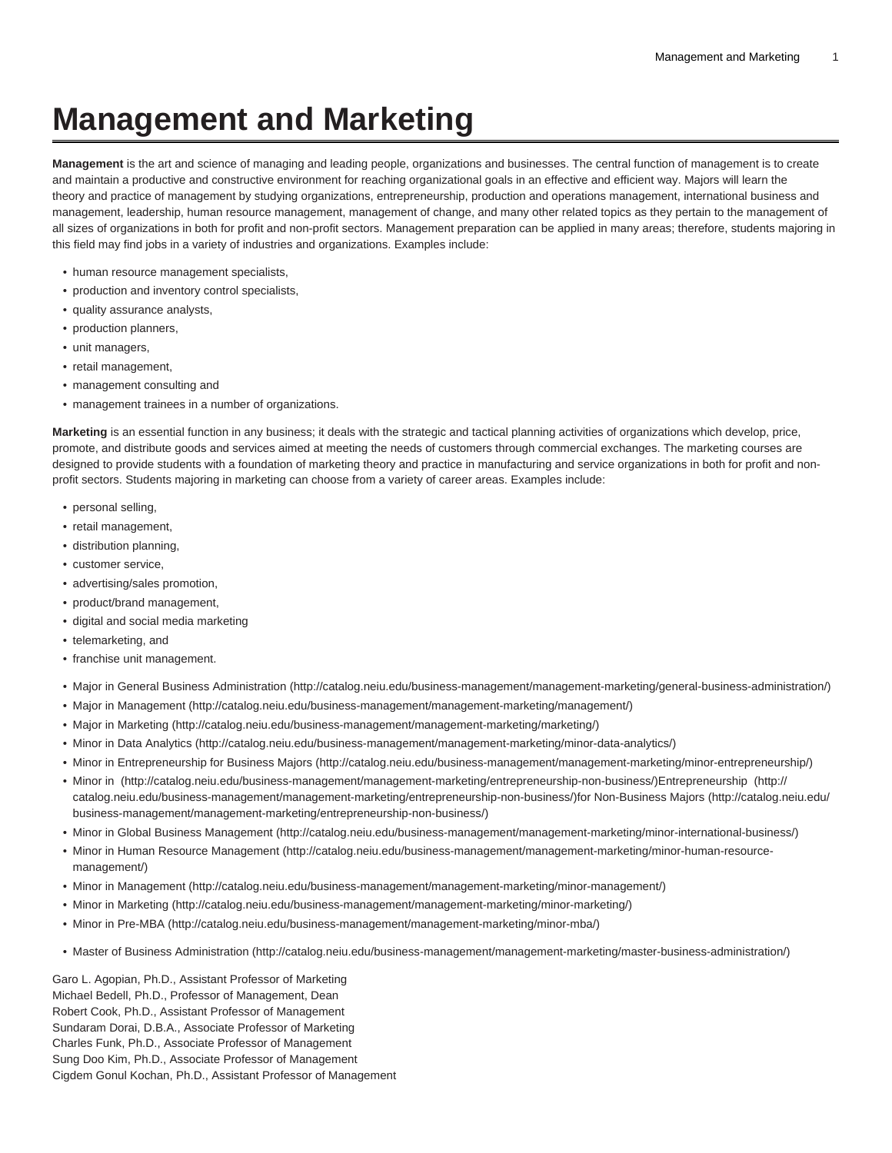# **Management and Marketing**

**Management** is the art and science of managing and leading people, organizations and businesses. The central function of management is to create and maintain a productive and constructive environment for reaching organizational goals in an effective and efficient way. Majors will learn the theory and practice of management by studying organizations, entrepreneurship, production and operations management, international business and management, leadership, human resource management, management of change, and many other related topics as they pertain to the management of all sizes of organizations in both for profit and non-profit sectors. Management preparation can be applied in many areas; therefore, students majoring in this field may find jobs in a variety of industries and organizations. Examples include:

- human resource management specialists,
- production and inventory control specialists,
- quality assurance analysts,
- production planners,
- unit managers,
- retail management,
- management consulting and
- management trainees in a number of organizations.

**Marketing** is an essential function in any business; it deals with the strategic and tactical planning activities of organizations which develop, price, promote, and distribute goods and services aimed at meeting the needs of customers through commercial exchanges. The marketing courses are designed to provide students with a foundation of marketing theory and practice in manufacturing and service organizations in both for profit and nonprofit sectors. Students majoring in marketing can choose from a variety of career areas. Examples include:

- personal selling,
- retail management,
- distribution planning,
- customer service,
- advertising/sales promotion,
- product/brand management,
- digital and social media marketing
- telemarketing, and
- franchise unit management.
- [Major in General Business Administration](http://catalog.neiu.edu/business-management/management-marketing/general-business-administration/) ([http://catalog.neiu.edu/business-management/management-marketing/general-business-administration/\)](http://catalog.neiu.edu/business-management/management-marketing/general-business-administration/)
- [Major in Management](http://catalog.neiu.edu/business-management/management-marketing/management/) [\(http://catalog.neiu.edu/business-management/management-marketing/management/\)](http://catalog.neiu.edu/business-management/management-marketing/management/)
- [Major in Marketing](http://catalog.neiu.edu/business-management/management-marketing/marketing/) ([http://catalog.neiu.edu/business-management/management-marketing/marketing/\)](http://catalog.neiu.edu/business-management/management-marketing/marketing/)
- [Minor in Data Analytics](http://catalog.neiu.edu/business-management/management-marketing/minor-data-analytics/) ([http://catalog.neiu.edu/business-management/management-marketing/minor-data-analytics/\)](http://catalog.neiu.edu/business-management/management-marketing/minor-data-analytics/)
- [Minor in Entrepreneurship for Business Majors](http://catalog.neiu.edu/business-management/management-marketing/minor-entrepreneurship/) [\(http://catalog.neiu.edu/business-management/management-marketing/minor-entrepreneurship/\)](http://catalog.neiu.edu/business-management/management-marketing/minor-entrepreneurship/)
- [Minor in](http://catalog.neiu.edu/business-management/management-marketing/entrepreneurship-non-business/) (<http://catalog.neiu.edu/business-management/management-marketing/entrepreneurship-non-business/>)[Entrepreneurship \(http://](http://catalog.neiu.edu/business-management/management-marketing/entrepreneurship-non-business/) [catalog.neiu.edu/business-management/management-marketing/entrepreneurship-non-business/\)for Non-Business Majors](http://catalog.neiu.edu/business-management/management-marketing/entrepreneurship-non-business/) ([http://catalog.neiu.edu/](http://catalog.neiu.edu/business-management/management-marketing/entrepreneurship-non-business/) [business-management/management-marketing/entrepreneurship-non-business/\)](http://catalog.neiu.edu/business-management/management-marketing/entrepreneurship-non-business/)
- [Minor in Global Business Management](http://catalog.neiu.edu/business-management/management-marketing/minor-international-business/) [\(http://catalog.neiu.edu/business-management/management-marketing/minor-international-business/\)](http://catalog.neiu.edu/business-management/management-marketing/minor-international-business/)
- [Minor in Human Resource Management](http://catalog.neiu.edu/business-management/management-marketing/minor-human-resource-management/) ([http://catalog.neiu.edu/business-management/management-marketing/minor-human-resource](http://catalog.neiu.edu/business-management/management-marketing/minor-human-resource-management/)[management/\)](http://catalog.neiu.edu/business-management/management-marketing/minor-human-resource-management/)
- [Minor in Management](http://catalog.neiu.edu/business-management/management-marketing/minor-management/) [\(http://catalog.neiu.edu/business-management/management-marketing/minor-management/\)](http://catalog.neiu.edu/business-management/management-marketing/minor-management/)
- [Minor in Marketing](http://catalog.neiu.edu/business-management/management-marketing/minor-marketing/) (<http://catalog.neiu.edu/business-management/management-marketing/minor-marketing/>)
- [Minor in Pre-MBA](http://catalog.neiu.edu/business-management/management-marketing/minor-mba/) [\(http://catalog.neiu.edu/business-management/management-marketing/minor-mba/](http://catalog.neiu.edu/business-management/management-marketing/minor-mba/))
- [Master of Business Administration](http://catalog.neiu.edu/business-management/management-marketing/master-business-administration/) ([http://catalog.neiu.edu/business-management/management-marketing/master-business-administration/\)](http://catalog.neiu.edu/business-management/management-marketing/master-business-administration/)

Garo L. Agopian, Ph.D., Assistant Professor of Marketing Michael Bedell, Ph.D., Professor of Management, Dean Robert Cook, Ph.D., Assistant Professor of Management Sundaram Dorai, D.B.A., Associate Professor of Marketing Charles Funk, Ph.D., Associate Professor of Management Sung Doo Kim, Ph.D., Associate Professor of Management Cigdem Gonul Kochan, Ph.D., Assistant Professor of Management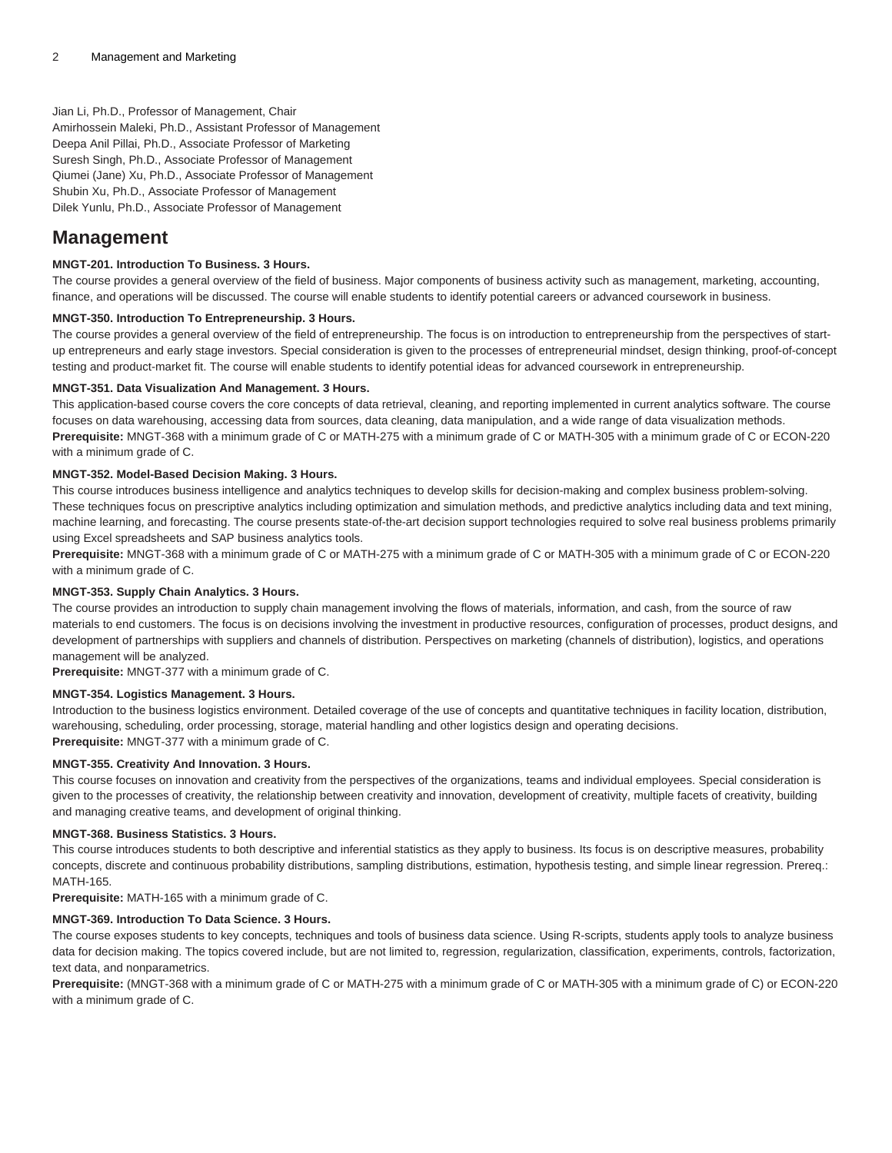# Jian Li, Ph.D., Professor of Management, Chair

Amirhossein Maleki, Ph.D., Assistant Professor of Management Deepa Anil Pillai, Ph.D., Associate Professor of Marketing Suresh Singh, Ph.D., Associate Professor of Management Qiumei (Jane) Xu, Ph.D., Associate Professor of Management Shubin Xu, Ph.D., Associate Professor of Management Dilek Yunlu, Ph.D., Associate Professor of Management

# **Management**

# **MNGT-201. Introduction To Business. 3 Hours.**

The course provides a general overview of the field of business. Major components of business activity such as management, marketing, accounting, finance, and operations will be discussed. The course will enable students to identify potential careers or advanced coursework in business.

# **MNGT-350. Introduction To Entrepreneurship. 3 Hours.**

The course provides a general overview of the field of entrepreneurship. The focus is on introduction to entrepreneurship from the perspectives of startup entrepreneurs and early stage investors. Special consideration is given to the processes of entrepreneurial mindset, design thinking, proof-of-concept testing and product-market fit. The course will enable students to identify potential ideas for advanced coursework in entrepreneurship.

# **MNGT-351. Data Visualization And Management. 3 Hours.**

This application-based course covers the core concepts of data retrieval, cleaning, and reporting implemented in current analytics software. The course focuses on data warehousing, accessing data from sources, data cleaning, data manipulation, and a wide range of data visualization methods. **Prerequisite:** MNGT-368 with a minimum grade of C or MATH-275 with a minimum grade of C or MATH-305 with a minimum grade of C or ECON-220 with a minimum grade of C.

# **MNGT-352. Model-Based Decision Making. 3 Hours.**

This course introduces business intelligence and analytics techniques to develop skills for decision-making and complex business problem-solving. These techniques focus on prescriptive analytics including optimization and simulation methods, and predictive analytics including data and text mining, machine learning, and forecasting. The course presents state-of-the-art decision support technologies required to solve real business problems primarily using Excel spreadsheets and SAP business analytics tools.

**Prerequisite:** MNGT-368 with a minimum grade of C or MATH-275 with a minimum grade of C or MATH-305 with a minimum grade of C or ECON-220 with a minimum grade of C.

# **MNGT-353. Supply Chain Analytics. 3 Hours.**

The course provides an introduction to supply chain management involving the flows of materials, information, and cash, from the source of raw materials to end customers. The focus is on decisions involving the investment in productive resources, configuration of processes, product designs, and development of partnerships with suppliers and channels of distribution. Perspectives on marketing (channels of distribution), logistics, and operations management will be analyzed.

**Prerequisite:** MNGT-377 with a minimum grade of C.

# **MNGT-354. Logistics Management. 3 Hours.**

Introduction to the business logistics environment. Detailed coverage of the use of concepts and quantitative techniques in facility location, distribution, warehousing, scheduling, order processing, storage, material handling and other logistics design and operating decisions. **Prerequisite:** MNGT-377 with a minimum grade of C.

**MNGT-355. Creativity And Innovation. 3 Hours.**

This course focuses on innovation and creativity from the perspectives of the organizations, teams and individual employees. Special consideration is given to the processes of creativity, the relationship between creativity and innovation, development of creativity, multiple facets of creativity, building and managing creative teams, and development of original thinking.

#### **MNGT-368. Business Statistics. 3 Hours.**

This course introduces students to both descriptive and inferential statistics as they apply to business. Its focus is on descriptive measures, probability concepts, discrete and continuous probability distributions, sampling distributions, estimation, hypothesis testing, and simple linear regression. Prereq.: MATH-165.

**Prerequisite:** MATH-165 with a minimum grade of C.

# **MNGT-369. Introduction To Data Science. 3 Hours.**

The course exposes students to key concepts, techniques and tools of business data science. Using R-scripts, students apply tools to analyze business data for decision making. The topics covered include, but are not limited to, regression, regularization, classification, experiments, controls, factorization, text data, and nonparametrics.

**Prerequisite:** (MNGT-368 with a minimum grade of C or MATH-275 with a minimum grade of C or MATH-305 with a minimum grade of C) or ECON-220 with a minimum grade of C.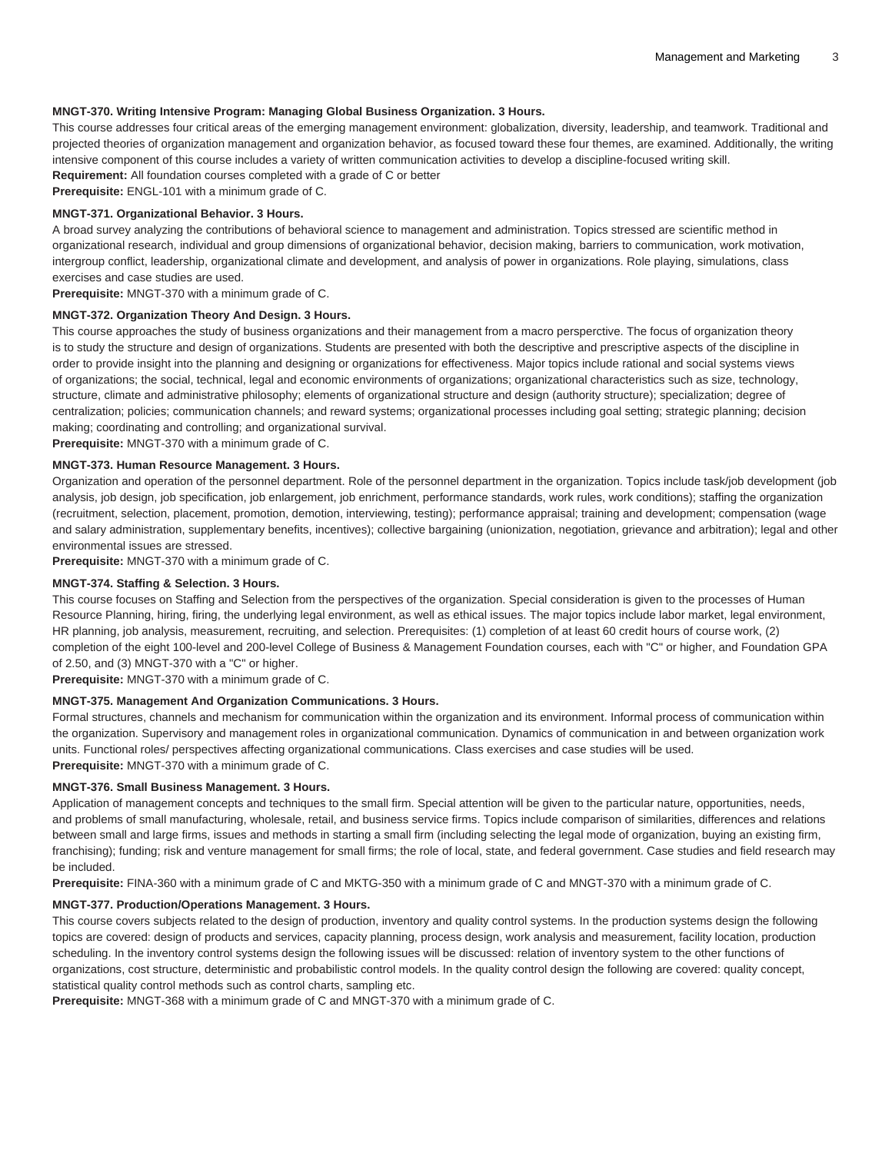# **MNGT-370. Writing Intensive Program: Managing Global Business Organization. 3 Hours.**

This course addresses four critical areas of the emerging management environment: globalization, diversity, leadership, and teamwork. Traditional and projected theories of organization management and organization behavior, as focused toward these four themes, are examined. Additionally, the writing intensive component of this course includes a variety of written communication activities to develop a discipline-focused writing skill. **Requirement:** All foundation courses completed with a grade of C or better

**Prerequisite:** ENGL-101 with a minimum grade of C.

#### **MNGT-371. Organizational Behavior. 3 Hours.**

A broad survey analyzing the contributions of behavioral science to management and administration. Topics stressed are scientific method in organizational research, individual and group dimensions of organizational behavior, decision making, barriers to communication, work motivation, intergroup conflict, leadership, organizational climate and development, and analysis of power in organizations. Role playing, simulations, class exercises and case studies are used.

**Prerequisite:** MNGT-370 with a minimum grade of C.

#### **MNGT-372. Organization Theory And Design. 3 Hours.**

This course approaches the study of business organizations and their management from a macro persperctive. The focus of organization theory is to study the structure and design of organizations. Students are presented with both the descriptive and prescriptive aspects of the discipline in order to provide insight into the planning and designing or organizations for effectiveness. Major topics include rational and social systems views of organizations; the social, technical, legal and economic environments of organizations; organizational characteristics such as size, technology, structure, climate and administrative philosophy; elements of organizational structure and design (authority structure); specialization; degree of centralization; policies; communication channels; and reward systems; organizational processes including goal setting; strategic planning; decision making; coordinating and controlling; and organizational survival.

**Prerequisite:** MNGT-370 with a minimum grade of C.

# **MNGT-373. Human Resource Management. 3 Hours.**

Organization and operation of the personnel department. Role of the personnel department in the organization. Topics include task/job development (job analysis, job design, job specification, job enlargement, job enrichment, performance standards, work rules, work conditions); staffing the organization (recruitment, selection, placement, promotion, demotion, interviewing, testing); performance appraisal; training and development; compensation (wage and salary administration, supplementary benefits, incentives); collective bargaining (unionization, negotiation, grievance and arbitration); legal and other environmental issues are stressed.

**Prerequisite:** MNGT-370 with a minimum grade of C.

# **MNGT-374. Staffing & Selection. 3 Hours.**

This course focuses on Staffing and Selection from the perspectives of the organization. Special consideration is given to the processes of Human Resource Planning, hiring, firing, the underlying legal environment, as well as ethical issues. The major topics include labor market, legal environment, HR planning, job analysis, measurement, recruiting, and selection. Prerequisites: (1) completion of at least 60 credit hours of course work, (2) completion of the eight 100-level and 200-level College of Business & Management Foundation courses, each with "C" or higher, and Foundation GPA of 2.50, and (3) MNGT-370 with a "C" or higher.

**Prerequisite:** MNGT-370 with a minimum grade of C.

# **MNGT-375. Management And Organization Communications. 3 Hours.**

Formal structures, channels and mechanism for communication within the organization and its environment. Informal process of communication within the organization. Supervisory and management roles in organizational communication. Dynamics of communication in and between organization work units. Functional roles/ perspectives affecting organizational communications. Class exercises and case studies will be used.

**Prerequisite:** MNGT-370 with a minimum grade of C.

#### **MNGT-376. Small Business Management. 3 Hours.**

Application of management concepts and techniques to the small firm. Special attention will be given to the particular nature, opportunities, needs, and problems of small manufacturing, wholesale, retail, and business service firms. Topics include comparison of similarities, differences and relations between small and large firms, issues and methods in starting a small firm (including selecting the legal mode of organization, buying an existing firm, franchising); funding; risk and venture management for small firms; the role of local, state, and federal government. Case studies and field research may be included.

**Prerequisite:** FINA-360 with a minimum grade of C and MKTG-350 with a minimum grade of C and MNGT-370 with a minimum grade of C.

# **MNGT-377. Production/Operations Management. 3 Hours.**

This course covers subjects related to the design of production, inventory and quality control systems. In the production systems design the following topics are covered: design of products and services, capacity planning, process design, work analysis and measurement, facility location, production scheduling. In the inventory control systems design the following issues will be discussed: relation of inventory system to the other functions of organizations, cost structure, deterministic and probabilistic control models. In the quality control design the following are covered: quality concept, statistical quality control methods such as control charts, sampling etc.

**Prerequisite:** MNGT-368 with a minimum grade of C and MNGT-370 with a minimum grade of C.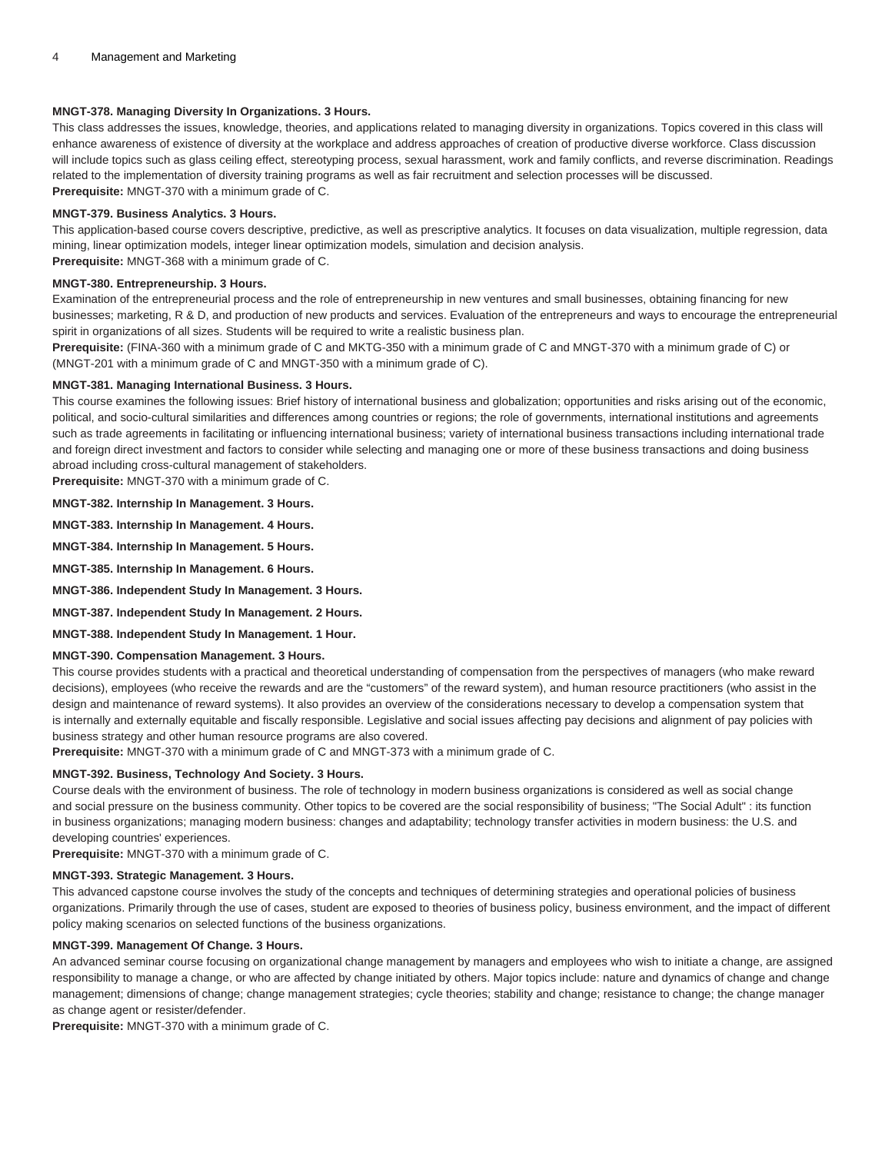# **MNGT-378. Managing Diversity In Organizations. 3 Hours.**

This class addresses the issues, knowledge, theories, and applications related to managing diversity in organizations. Topics covered in this class will enhance awareness of existence of diversity at the workplace and address approaches of creation of productive diverse workforce. Class discussion will include topics such as glass ceiling effect, stereotyping process, sexual harassment, work and family conflicts, and reverse discrimination. Readings related to the implementation of diversity training programs as well as fair recruitment and selection processes will be discussed. **Prerequisite:** MNGT-370 with a minimum grade of C.

# **MNGT-379. Business Analytics. 3 Hours.**

This application-based course covers descriptive, predictive, as well as prescriptive analytics. It focuses on data visualization, multiple regression, data mining, linear optimization models, integer linear optimization models, simulation and decision analysis. **Prerequisite:** MNGT-368 with a minimum grade of C.

#### **MNGT-380. Entrepreneurship. 3 Hours.**

Examination of the entrepreneurial process and the role of entrepreneurship in new ventures and small businesses, obtaining financing for new businesses; marketing, R & D, and production of new products and services. Evaluation of the entrepreneurs and ways to encourage the entrepreneurial spirit in organizations of all sizes. Students will be required to write a realistic business plan.

**Prerequisite:** (FINA-360 with a minimum grade of C and MKTG-350 with a minimum grade of C and MNGT-370 with a minimum grade of C) or (MNGT-201 with a minimum grade of C and MNGT-350 with a minimum grade of C).

#### **MNGT-381. Managing International Business. 3 Hours.**

This course examines the following issues: Brief history of international business and globalization; opportunities and risks arising out of the economic, political, and socio-cultural similarities and differences among countries or regions; the role of governments, international institutions and agreements such as trade agreements in facilitating or influencing international business; variety of international business transactions including international trade and foreign direct investment and factors to consider while selecting and managing one or more of these business transactions and doing business abroad including cross-cultural management of stakeholders.

**Prerequisite:** MNGT-370 with a minimum grade of C.

**MNGT-382. Internship In Management. 3 Hours.**

**MNGT-383. Internship In Management. 4 Hours.**

**MNGT-384. Internship In Management. 5 Hours.**

**MNGT-385. Internship In Management. 6 Hours.**

**MNGT-386. Independent Study In Management. 3 Hours.**

**MNGT-387. Independent Study In Management. 2 Hours.**

**MNGT-388. Independent Study In Management. 1 Hour.**

#### **MNGT-390. Compensation Management. 3 Hours.**

This course provides students with a practical and theoretical understanding of compensation from the perspectives of managers (who make reward decisions), employees (who receive the rewards and are the "customers" of the reward system), and human resource practitioners (who assist in the design and maintenance of reward systems). It also provides an overview of the considerations necessary to develop a compensation system that is internally and externally equitable and fiscally responsible. Legislative and social issues affecting pay decisions and alignment of pay policies with business strategy and other human resource programs are also covered.

**Prerequisite:** MNGT-370 with a minimum grade of C and MNGT-373 with a minimum grade of C.

#### **MNGT-392. Business, Technology And Society. 3 Hours.**

Course deals with the environment of business. The role of technology in modern business organizations is considered as well as social change and social pressure on the business community. Other topics to be covered are the social responsibility of business; "The Social Adult" : its function in business organizations; managing modern business: changes and adaptability; technology transfer activities in modern business: the U.S. and developing countries' experiences.

**Prerequisite:** MNGT-370 with a minimum grade of C.

#### **MNGT-393. Strategic Management. 3 Hours.**

This advanced capstone course involves the study of the concepts and techniques of determining strategies and operational policies of business organizations. Primarily through the use of cases, student are exposed to theories of business policy, business environment, and the impact of different policy making scenarios on selected functions of the business organizations.

# **MNGT-399. Management Of Change. 3 Hours.**

An advanced seminar course focusing on organizational change management by managers and employees who wish to initiate a change, are assigned responsibility to manage a change, or who are affected by change initiated by others. Major topics include: nature and dynamics of change and change management; dimensions of change; change management strategies; cycle theories; stability and change; resistance to change; the change manager as change agent or resister/defender.

**Prerequisite:** MNGT-370 with a minimum grade of C.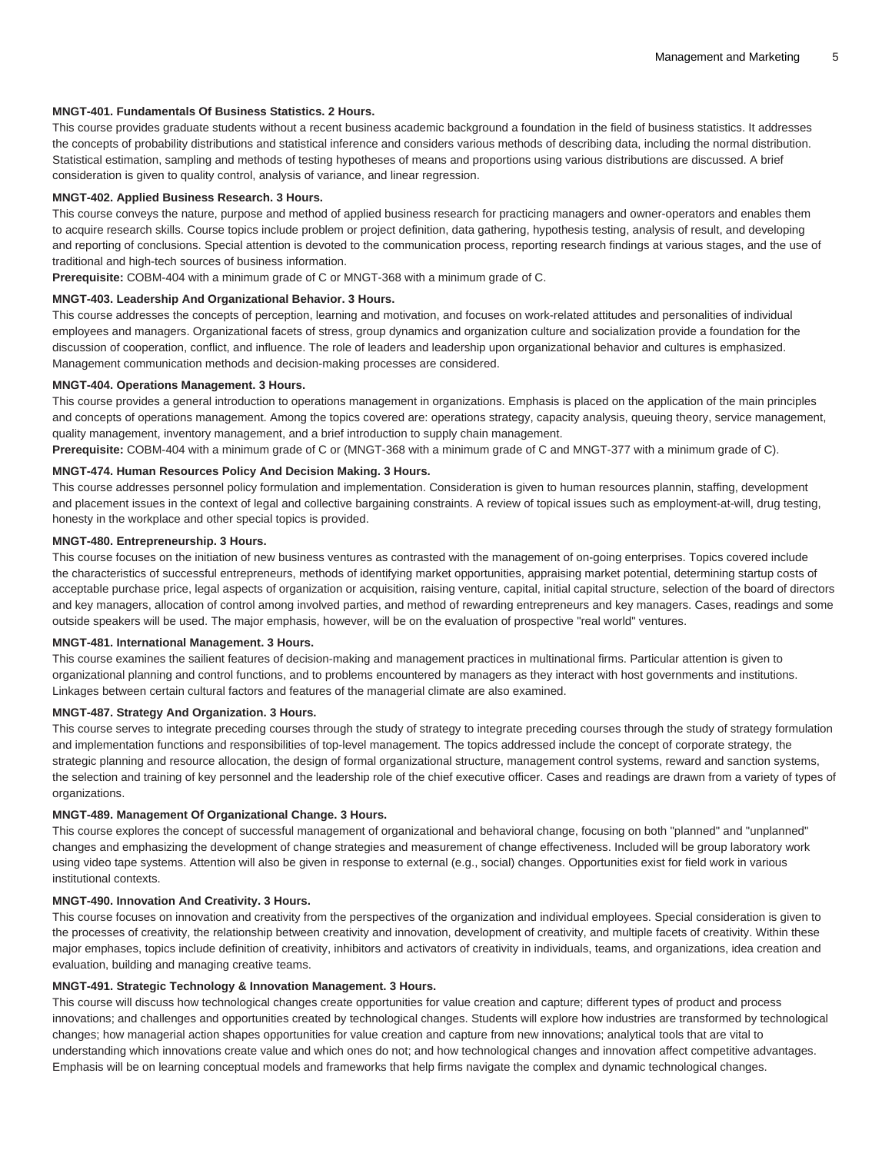# **MNGT-401. Fundamentals Of Business Statistics. 2 Hours.**

This course provides graduate students without a recent business academic background a foundation in the field of business statistics. It addresses the concepts of probability distributions and statistical inference and considers various methods of describing data, including the normal distribution. Statistical estimation, sampling and methods of testing hypotheses of means and proportions using various distributions are discussed. A brief consideration is given to quality control, analysis of variance, and linear regression.

#### **MNGT-402. Applied Business Research. 3 Hours.**

This course conveys the nature, purpose and method of applied business research for practicing managers and owner-operators and enables them to acquire research skills. Course topics include problem or project definition, data gathering, hypothesis testing, analysis of result, and developing and reporting of conclusions. Special attention is devoted to the communication process, reporting research findings at various stages, and the use of traditional and high-tech sources of business information.

**Prerequisite:** COBM-404 with a minimum grade of C or MNGT-368 with a minimum grade of C.

#### **MNGT-403. Leadership And Organizational Behavior. 3 Hours.**

This course addresses the concepts of perception, learning and motivation, and focuses on work-related attitudes and personalities of individual employees and managers. Organizational facets of stress, group dynamics and organization culture and socialization provide a foundation for the discussion of cooperation, conflict, and influence. The role of leaders and leadership upon organizational behavior and cultures is emphasized. Management communication methods and decision-making processes are considered.

#### **MNGT-404. Operations Management. 3 Hours.**

This course provides a general introduction to operations management in organizations. Emphasis is placed on the application of the main principles and concepts of operations management. Among the topics covered are: operations strategy, capacity analysis, queuing theory, service management, quality management, inventory management, and a brief introduction to supply chain management.

**Prerequisite:** COBM-404 with a minimum grade of C or (MNGT-368 with a minimum grade of C and MNGT-377 with a minimum grade of C).

# **MNGT-474. Human Resources Policy And Decision Making. 3 Hours.**

This course addresses personnel policy formulation and implementation. Consideration is given to human resources plannin, staffing, development and placement issues in the context of legal and collective bargaining constraints. A review of topical issues such as employment-at-will, drug testing, honesty in the workplace and other special topics is provided.

## **MNGT-480. Entrepreneurship. 3 Hours.**

This course focuses on the initiation of new business ventures as contrasted with the management of on-going enterprises. Topics covered include the characteristics of successful entrepreneurs, methods of identifying market opportunities, appraising market potential, determining startup costs of acceptable purchase price, legal aspects of organization or acquisition, raising venture, capital, initial capital structure, selection of the board of directors and key managers, allocation of control among involved parties, and method of rewarding entrepreneurs and key managers. Cases, readings and some outside speakers will be used. The major emphasis, however, will be on the evaluation of prospective "real world" ventures.

#### **MNGT-481. International Management. 3 Hours.**

This course examines the sailient features of decision-making and management practices in multinational firms. Particular attention is given to organizational planning and control functions, and to problems encountered by managers as they interact with host governments and institutions. Linkages between certain cultural factors and features of the managerial climate are also examined.

#### **MNGT-487. Strategy And Organization. 3 Hours.**

This course serves to integrate preceding courses through the study of strategy to integrate preceding courses through the study of strategy formulation and implementation functions and responsibilities of top-level management. The topics addressed include the concept of corporate strategy, the strategic planning and resource allocation, the design of formal organizational structure, management control systems, reward and sanction systems, the selection and training of key personnel and the leadership role of the chief executive officer. Cases and readings are drawn from a variety of types of organizations.

# **MNGT-489. Management Of Organizational Change. 3 Hours.**

This course explores the concept of successful management of organizational and behavioral change, focusing on both "planned" and "unplanned" changes and emphasizing the development of change strategies and measurement of change effectiveness. Included will be group laboratory work using video tape systems. Attention will also be given in response to external (e.g., social) changes. Opportunities exist for field work in various institutional contexts.

#### **MNGT-490. Innovation And Creativity. 3 Hours.**

This course focuses on innovation and creativity from the perspectives of the organization and individual employees. Special consideration is given to the processes of creativity, the relationship between creativity and innovation, development of creativity, and multiple facets of creativity. Within these major emphases, topics include definition of creativity, inhibitors and activators of creativity in individuals, teams, and organizations, idea creation and evaluation, building and managing creative teams.

# **MNGT-491. Strategic Technology & Innovation Management. 3 Hours.**

This course will discuss how technological changes create opportunities for value creation and capture; different types of product and process innovations; and challenges and opportunities created by technological changes. Students will explore how industries are transformed by technological changes; how managerial action shapes opportunities for value creation and capture from new innovations; analytical tools that are vital to understanding which innovations create value and which ones do not; and how technological changes and innovation affect competitive advantages. Emphasis will be on learning conceptual models and frameworks that help firms navigate the complex and dynamic technological changes.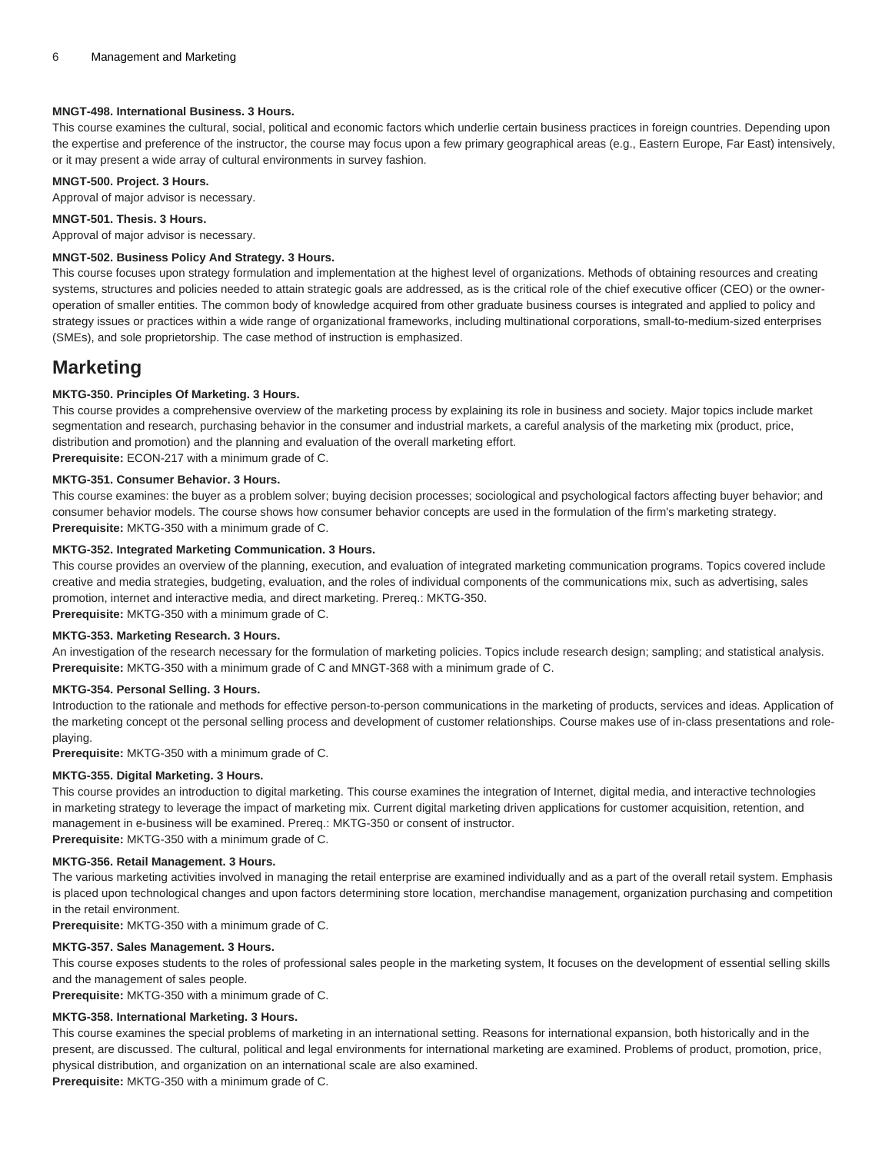# **MNGT-498. International Business. 3 Hours.**

This course examines the cultural, social, political and economic factors which underlie certain business practices in foreign countries. Depending upon the expertise and preference of the instructor, the course may focus upon a few primary geographical areas (e.g., Eastern Europe, Far East) intensively, or it may present a wide array of cultural environments in survey fashion.

# **MNGT-500. Project. 3 Hours.**

Approval of major advisor is necessary.

# **MNGT-501. Thesis. 3 Hours.**

Approval of major advisor is necessary.

# **MNGT-502. Business Policy And Strategy. 3 Hours.**

This course focuses upon strategy formulation and implementation at the highest level of organizations. Methods of obtaining resources and creating systems, structures and policies needed to attain strategic goals are addressed, as is the critical role of the chief executive officer (CEO) or the owneroperation of smaller entities. The common body of knowledge acquired from other graduate business courses is integrated and applied to policy and strategy issues or practices within a wide range of organizational frameworks, including multinational corporations, small-to-medium-sized enterprises (SMEs), and sole proprietorship. The case method of instruction is emphasized.

# **Marketing**

# **MKTG-350. Principles Of Marketing. 3 Hours.**

This course provides a comprehensive overview of the marketing process by explaining its role in business and society. Major topics include market segmentation and research, purchasing behavior in the consumer and industrial markets, a careful analysis of the marketing mix (product, price, distribution and promotion) and the planning and evaluation of the overall marketing effort. **Prerequisite:** ECON-217 with a minimum grade of C.

# **MKTG-351. Consumer Behavior. 3 Hours.**

This course examines: the buyer as a problem solver; buying decision processes; sociological and psychological factors affecting buyer behavior; and consumer behavior models. The course shows how consumer behavior concepts are used in the formulation of the firm's marketing strategy. **Prerequisite:** MKTG-350 with a minimum grade of C.

# **MKTG-352. Integrated Marketing Communication. 3 Hours.**

This course provides an overview of the planning, execution, and evaluation of integrated marketing communication programs. Topics covered include creative and media strategies, budgeting, evaluation, and the roles of individual components of the communications mix, such as advertising, sales promotion, internet and interactive media, and direct marketing. Prereq.: MKTG-350.

**Prerequisite:** MKTG-350 with a minimum grade of C.

# **MKTG-353. Marketing Research. 3 Hours.**

An investigation of the research necessary for the formulation of marketing policies. Topics include research design; sampling; and statistical analysis. **Prerequisite:** MKTG-350 with a minimum grade of C and MNGT-368 with a minimum grade of C.

# **MKTG-354. Personal Selling. 3 Hours.**

Introduction to the rationale and methods for effective person-to-person communications in the marketing of products, services and ideas. Application of the marketing concept ot the personal selling process and development of customer relationships. Course makes use of in-class presentations and roleplaying.

**Prerequisite:** MKTG-350 with a minimum grade of C.

# **MKTG-355. Digital Marketing. 3 Hours.**

This course provides an introduction to digital marketing. This course examines the integration of Internet, digital media, and interactive technologies in marketing strategy to leverage the impact of marketing mix. Current digital marketing driven applications for customer acquisition, retention, and management in e-business will be examined. Prereq.: MKTG-350 or consent of instructor. **Prerequisite:** MKTG-350 with a minimum grade of C.

#### **MKTG-356. Retail Management. 3 Hours.**

The various marketing activities involved in managing the retail enterprise are examined individually and as a part of the overall retail system. Emphasis is placed upon technological changes and upon factors determining store location, merchandise management, organization purchasing and competition in the retail environment.

**Prerequisite:** MKTG-350 with a minimum grade of C.

#### **MKTG-357. Sales Management. 3 Hours.**

This course exposes students to the roles of professional sales people in the marketing system, It focuses on the development of essential selling skills and the management of sales people.

**Prerequisite:** MKTG-350 with a minimum grade of C.

# **MKTG-358. International Marketing. 3 Hours.**

This course examines the special problems of marketing in an international setting. Reasons for international expansion, both historically and in the present, are discussed. The cultural, political and legal environments for international marketing are examined. Problems of product, promotion, price, physical distribution, and organization on an international scale are also examined.

**Prerequisite:** MKTG-350 with a minimum grade of C.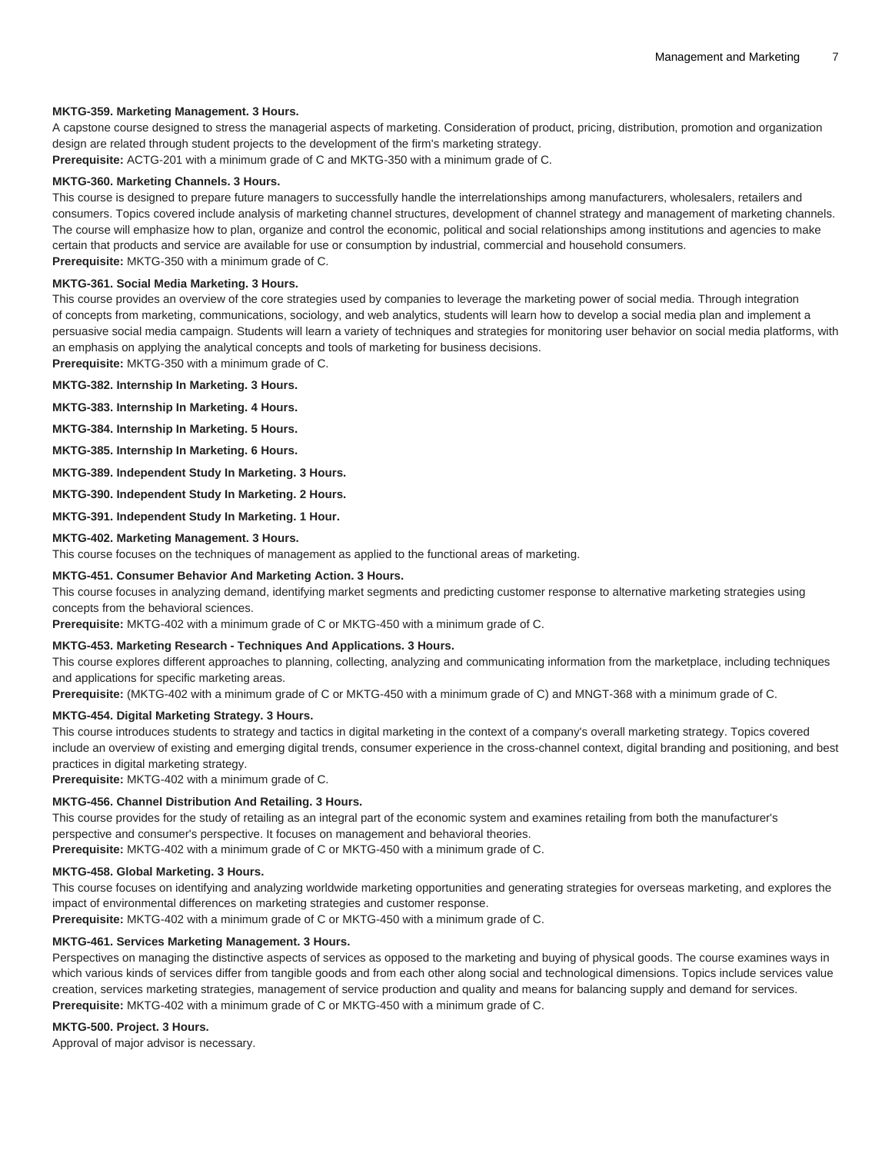#### **MKTG-359. Marketing Management. 3 Hours.**

A capstone course designed to stress the managerial aspects of marketing. Consideration of product, pricing, distribution, promotion and organization design are related through student projects to the development of the firm's marketing strategy.

**Prerequisite:** ACTG-201 with a minimum grade of C and MKTG-350 with a minimum grade of C.

# **MKTG-360. Marketing Channels. 3 Hours.**

This course is designed to prepare future managers to successfully handle the interrelationships among manufacturers, wholesalers, retailers and consumers. Topics covered include analysis of marketing channel structures, development of channel strategy and management of marketing channels. The course will emphasize how to plan, organize and control the economic, political and social relationships among institutions and agencies to make certain that products and service are available for use or consumption by industrial, commercial and household consumers. **Prerequisite:** MKTG-350 with a minimum grade of C.

#### **MKTG-361. Social Media Marketing. 3 Hours.**

This course provides an overview of the core strategies used by companies to leverage the marketing power of social media. Through integration of concepts from marketing, communications, sociology, and web analytics, students will learn how to develop a social media plan and implement a persuasive social media campaign. Students will learn a variety of techniques and strategies for monitoring user behavior on social media platforms, with an emphasis on applying the analytical concepts and tools of marketing for business decisions.

**Prerequisite:** MKTG-350 with a minimum grade of C.

# **MKTG-382. Internship In Marketing. 3 Hours.**

**MKTG-383. Internship In Marketing. 4 Hours.**

**MKTG-384. Internship In Marketing. 5 Hours.**

**MKTG-385. Internship In Marketing. 6 Hours.**

**MKTG-389. Independent Study In Marketing. 3 Hours.**

**MKTG-390. Independent Study In Marketing. 2 Hours.**

**MKTG-391. Independent Study In Marketing. 1 Hour.**

#### **MKTG-402. Marketing Management. 3 Hours.**

This course focuses on the techniques of management as applied to the functional areas of marketing.

#### **MKTG-451. Consumer Behavior And Marketing Action. 3 Hours.**

This course focuses in analyzing demand, identifying market segments and predicting customer response to alternative marketing strategies using concepts from the behavioral sciences.

**Prerequisite:** MKTG-402 with a minimum grade of C or MKTG-450 with a minimum grade of C.

#### **MKTG-453. Marketing Research - Techniques And Applications. 3 Hours.**

This course explores different approaches to planning, collecting, analyzing and communicating information from the marketplace, including techniques and applications for specific marketing areas.

**Prerequisite:** (MKTG-402 with a minimum grade of C or MKTG-450 with a minimum grade of C) and MNGT-368 with a minimum grade of C.

#### **MKTG-454. Digital Marketing Strategy. 3 Hours.**

This course introduces students to strategy and tactics in digital marketing in the context of a company's overall marketing strategy. Topics covered include an overview of existing and emerging digital trends, consumer experience in the cross-channel context, digital branding and positioning, and best practices in digital marketing strategy.

**Prerequisite:** MKTG-402 with a minimum grade of C.

# **MKTG-456. Channel Distribution And Retailing. 3 Hours.**

This course provides for the study of retailing as an integral part of the economic system and examines retailing from both the manufacturer's perspective and consumer's perspective. It focuses on management and behavioral theories. **Prerequisite:** MKTG-402 with a minimum grade of C or MKTG-450 with a minimum grade of C.

#### **MKTG-458. Global Marketing. 3 Hours.**

This course focuses on identifying and analyzing worldwide marketing opportunities and generating strategies for overseas marketing, and explores the impact of environmental differences on marketing strategies and customer response.

**Prerequisite:** MKTG-402 with a minimum grade of C or MKTG-450 with a minimum grade of C.

# **MKTG-461. Services Marketing Management. 3 Hours.**

Perspectives on managing the distinctive aspects of services as opposed to the marketing and buying of physical goods. The course examines ways in which various kinds of services differ from tangible goods and from each other along social and technological dimensions. Topics include services value creation, services marketing strategies, management of service production and quality and means for balancing supply and demand for services. **Prerequisite:** MKTG-402 with a minimum grade of C or MKTG-450 with a minimum grade of C.

#### **MKTG-500. Project. 3 Hours.**

Approval of major advisor is necessary.